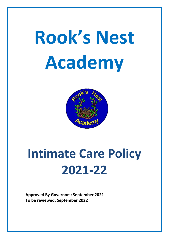# **Rook's Nest Academy**



# **Intimate Care Policy 2021-22**

**Approved By Governors: September 2021 To be reviewed: September 2022**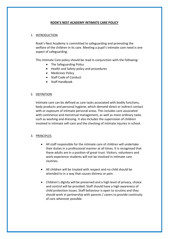# **ROOK'S NEST ACADEMY INTIMATE CARE POLICY**

## 1. INTRODUCTION

Rook's Nest Academy is committed to safeguarding and promoting the welfare of the children in its care. Meeting a pupil's intimate care need is one aspect of safeguarding.

This Intimate Care policy should be read in conjunction with the following:

- The Safeguarding Policy
- Health and Safety policy and procedures
- Medicines Policy
- Staff Code of Conduct
- Staff Handbook

#### 2. DEFINITION

Intimate care can be defined as care tasks associated with bodily functions, body products and personal hygiene, which demand direct or indirect contact with or exposure of intimate personal areas. This includes care associated with continence and menstrual management, as well as more ordinary tasks such as washing and dressing. It also includes the supervision of children involved in intimate self-care and the checking of intimate injuries in school.

## 3. PRINCIPLES

- All staff responsible for the intimate care of children will undertake their duties in a professional manner at all times. It is recognised that these adults are in a position of great trust. Visitors, volunteers and work experience students will not be involved in intimate care routines.
- All children will be treated with respect and no child should be attended to in a way that causes distress or pain.
- Children's dignity will be preserved and a high level of privacy, choice and control will be provided. Staff should have a high awareness of child protection issues. Staff behaviour is open to scrutiny and they should work in partnership with parents / carers to provide continuity of care wherever possible.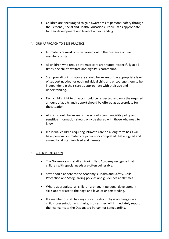Children are encouraged to gain awareness of personal safety through the Personal, Social and Health Education curriculum as appropriate to their development and level of understanding.

# 4. OUR APPROACH TO BEST PRACTICE

- Intimate care must only be carried out in the presence of two members of staff.
- All children who require intimate care are treated respectfully at all times; the child's welfare and dignity is paramount.
- Staff providing intimate care should be aware of the appropriate level of support needed for each individual child and encourage them to be independent in their care as appropriate with their age and understanding.
- Each child's right to privacy should be respected and only the required amount of adults and support should be offered as appropriate for the situation.
- All staff should be aware of the school's confidentiality policy and sensitive information should only be shared with those who need to know.
- Individual children requiring intimate care on a long-term basis will have personal intimate care paperwork completed that is signed and agreed by all staff involved and parents.

# 5. CHILD PROTECTION

.

- The Governors and staff at Rook's Nest Academy recognise that children with special needs are often vulnerable.
- Staff should adhere to the Academy's Health and Safety, Child Protection and Safeguarding policies and guidelines at all times.
- Where appropriate, all children are taught personal development skills appropriate to their age and level of understanding.
- If a member of staff has any concerns about physical changes in a child's presentation e.g. marks, bruises they will immediately report their concerns to the Designated Person for Safeguarding.